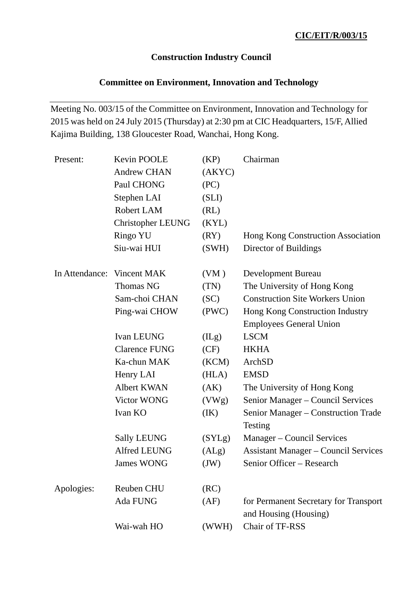# **Construction Industry Council**

# **Committee on Environment, Innovation and Technology**

Meeting No. 003/15 of the Committee on Environment, Innovation and Technology for 2015 was held on 24 July 2015 (Thursday) at 2:30 pm at CIC Headquarters, 15/F, Allied Kajima Building, 138 Gloucester Road, Wanchai, Hong Kong.

| Present:                   | Kevin POOLE              | (KP)   | Chairman                                                       |
|----------------------------|--------------------------|--------|----------------------------------------------------------------|
|                            | <b>Andrew CHAN</b>       | (AKYC) |                                                                |
|                            | Paul CHONG               | (PC)   |                                                                |
|                            | Stephen LAI              | (SLI)  |                                                                |
|                            | Robert LAM               | (RL)   |                                                                |
|                            | <b>Christopher LEUNG</b> | (KYL)  |                                                                |
|                            | Ringo YU                 | (RY)   | Hong Kong Construction Association                             |
|                            | Siu-wai HUI              | (SWH)  | Director of Buildings                                          |
| In Attendance: Vincent MAK |                          | (VM)   | Development Bureau                                             |
|                            | <b>Thomas NG</b>         | (TN)   | The University of Hong Kong                                    |
|                            | Sam-choi CHAN            | (SC)   | <b>Construction Site Workers Union</b>                         |
|                            | Ping-wai CHOW            | (PWC)  | Hong Kong Construction Industry                                |
|                            |                          |        | <b>Employees General Union</b>                                 |
|                            | Ivan LEUNG               | (ILg)  | <b>LSCM</b>                                                    |
|                            | <b>Clarence FUNG</b>     | (CF)   | <b>HKHA</b>                                                    |
|                            | Ka-chun MAK              | (KCM)  | ArchSD                                                         |
|                            | Henry LAI                | (HLA)  | <b>EMSD</b>                                                    |
|                            | Albert KWAN              | (AK)   | The University of Hong Kong                                    |
|                            | Victor WONG              | (VWg)  | Senior Manager - Council Services                              |
|                            | Ivan KO                  | (IK)   | Senior Manager - Construction Trade                            |
|                            |                          |        | Testing                                                        |
|                            | <b>Sally LEUNG</b>       | (SYLg) | Manager – Council Services                                     |
|                            | <b>Alfred LEUNG</b>      | (ALg)  | <b>Assistant Manager – Council Services</b>                    |
|                            | <b>James WONG</b>        | (JW)   | Senior Officer - Research                                      |
| Apologies:                 | <b>Reuben CHU</b>        | (RC)   |                                                                |
|                            | Ada FUNG                 | (AF)   | for Permanent Secretary for Transport<br>and Housing (Housing) |
|                            | Wai-wah HO               | (WWH)  | Chair of TF-RSS                                                |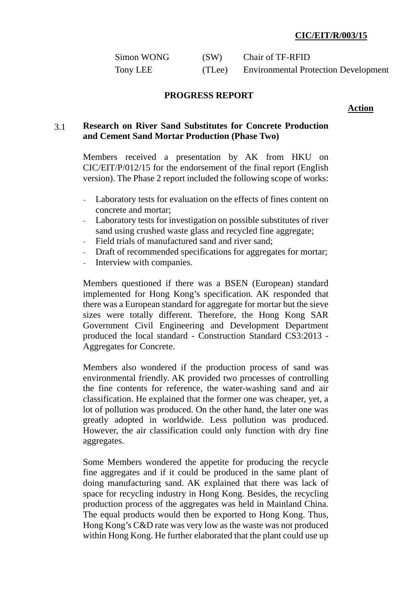| Simon WONG | (SW)   | Chair of TF-RFID                            |
|------------|--------|---------------------------------------------|
| Tony LEE   | (TLee) | <b>Environmental Protection Development</b> |

#### **PROGRESS REPORT**

**Action** 

## 3.1 **Research on River Sand Substitutes for Concrete Production and Cement Sand Mortar Production (Phase Two)**

Members received a presentation by AK from HKU on CIC/EIT/P/012/15 for the endorsement of the final report (English version). The Phase 2 report included the following scope of works:

- Laboratory tests for evaluation on the effects of fines content on concrete and mortar;
- Laboratory tests for investigation on possible substitutes of river sand using crushed waste glass and recycled fine aggregate;
- Field trials of manufactured sand and river sand;
- Draft of recommended specifications for aggregates for mortar;
- Interview with companies.

Members questioned if there was a BSEN (European) standard implemented for Hong Kong's specification. AK responded that there was a European standard for aggregate for mortar but the sieve sizes were totally different. Therefore, the Hong Kong SAR Government Civil Engineering and Development Department produced the local standard - Construction Standard CS3:2013 - Aggregates for Concrete.

Members also wondered if the production process of sand was environmental friendly. AK provided two processes of controlling the fine contents for reference, the water-washing sand and air classification. He explained that the former one was cheaper, yet, a lot of pollution was produced. On the other hand, the later one was greatly adopted in worldwide. Less pollution was produced. However, the air classification could only function with dry fine aggregates.

Some Members wondered the appetite for producing the recycle fine aggregates and if it could be produced in the same plant of doing manufacturing sand. AK explained that there was lack of space for recycling industry in Hong Kong. Besides, the recycling production process of the aggregates was held in Mainland China. The equal products would then be exported to Hong Kong. Thus, Hong Kong's C&D rate was very low as the waste was not produced within Hong Kong. He further elaborated that the plant could use up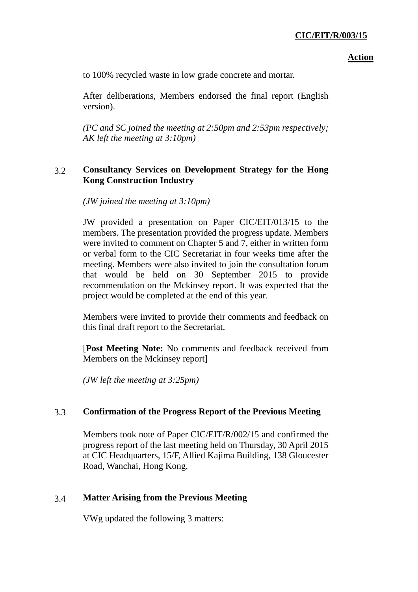#### **Action**

to 100% recycled waste in low grade concrete and mortar.

After deliberations, Members endorsed the final report (English version).

*(PC and SC joined the meeting at 2:50pm and 2:53pm respectively; AK left the meeting at 3:10pm)* 

## 3.2 **Consultancy Services on Development Strategy for the Hong Kong Construction Industry**

*(JW joined the meeting at 3:10pm)* 

JW provided a presentation on Paper CIC/EIT/013/15 to the members. The presentation provided the progress update. Members were invited to comment on Chapter 5 and 7, either in written form or verbal form to the CIC Secretariat in four weeks time after the meeting. Members were also invited to join the consultation forum that would be held on 30 September 2015 to provide recommendation on the Mckinsey report. It was expected that the project would be completed at the end of this year.

Members were invited to provide their comments and feedback on this final draft report to the Secretariat.

[**Post Meeting Note:** No comments and feedback received from Members on the Mckinsey report]

*(JW left the meeting at 3:25pm)* 

## 3.3 **Confirmation of the Progress Report of the Previous Meeting**

Members took note of Paper CIC/EIT/R/002/15 and confirmed the progress report of the last meeting held on Thursday, 30 April 2015 at CIC Headquarters, 15/F, Allied Kajima Building, 138 Gloucester Road, Wanchai, Hong Kong.

## 3.4 **Matter Arising from the Previous Meeting**

VWg updated the following 3 matters: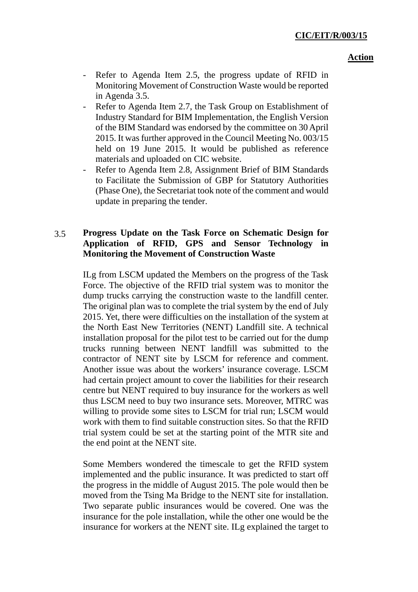#### **Action**

- Refer to Agenda Item 2.5, the progress update of RFID in Monitoring Movement of Construction Waste would be reported in Agenda 3.5.
- Refer to Agenda Item 2.7, the Task Group on Establishment of Industry Standard for BIM Implementation, the English Version of the BIM Standard was endorsed by the committee on 30April 2015. It was further approved in the Council Meeting No. 003/15 held on 19 June 2015. It would be published as reference materials and uploaded on CIC website.
- Refer to Agenda Item 2.8, Assignment Brief of BIM Standards to Facilitate the Submission of GBP for Statutory Authorities (Phase One), the Secretariat took note of the comment and would update in preparing the tender.

# 3.5 **Progress Update on the Task Force on Schematic Design for Application of RFID, GPS and Sensor Technology in Monitoring the Movement of Construction Waste**

ILg from LSCM updated the Members on the progress of the Task Force. The objective of the RFID trial system was to monitor the dump trucks carrying the construction waste to the landfill center. The original plan was to complete the trial system by the end of July 2015. Yet, there were difficulties on the installation of the system at the North East New Territories (NENT) Landfill site. A technical installation proposal for the pilot test to be carried out for the dump trucks running between NENT landfill was submitted to the contractor of NENT site by LSCM for reference and comment. Another issue was about the workers' insurance coverage. LSCM had certain project amount to cover the liabilities for their research centre but NENT required to buy insurance for the workers as well thus LSCM need to buy two insurance sets. Moreover, MTRC was willing to provide some sites to LSCM for trial run; LSCM would work with them to find suitable construction sites. So that the RFID trial system could be set at the starting point of the MTR site and the end point at the NENT site.

Some Members wondered the timescale to get the RFID system implemented and the public insurance. It was predicted to start off the progress in the middle of August 2015. The pole would then be moved from the Tsing Ma Bridge to the NENT site for installation. Two separate public insurances would be covered. One was the insurance for the pole installation, while the other one would be the insurance for workers at the NENT site. ILg explained the target to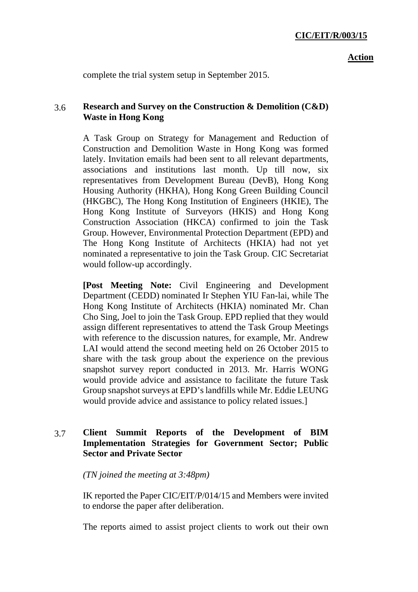complete the trial system setup in September 2015.

## 3.6 **Research and Survey on the Construction & Demolition (C&D) Waste in Hong Kong**

A Task Group on Strategy for Management and Reduction of Construction and Demolition Waste in Hong Kong was formed lately. Invitation emails had been sent to all relevant departments, associations and institutions last month. Up till now, six representatives from Development Bureau (DevB), Hong Kong Housing Authority (HKHA), Hong Kong Green Building Council (HKGBC), The Hong Kong Institution of Engineers (HKIE), The Hong Kong Institute of Surveyors (HKIS) and Hong Kong Construction Association (HKCA) confirmed to join the Task Group. However, Environmental Protection Department (EPD) and The Hong Kong Institute of Architects (HKIA) had not yet nominated a representative to join the Task Group. CIC Secretariat would follow-up accordingly.

**[Post Meeting Note:** Civil Engineering and Development Department (CEDD) nominated Ir Stephen YIU Fan-lai, while The Hong Kong Institute of Architects (HKIA) nominated Mr. Chan Cho Sing, Joel to join the Task Group. EPD replied that they would assign different representatives to attend the Task Group Meetings with reference to the discussion natures, for example, Mr. Andrew LAI would attend the second meeting held on 26 October 2015 to share with the task group about the experience on the previous snapshot survey report conducted in 2013. Mr. Harris WONG would provide advice and assistance to facilitate the future Task Group snapshot surveys at EPD's landfills while Mr. Eddie LEUNG would provide advice and assistance to policy related issues.]

# 3.7 **Client Summit Reports of the Development of BIM Implementation Strategies for Government Sector; Public Sector and Private Sector**

*(TN joined the meeting at 3:48pm)* 

IK reported the Paper CIC/EIT/P/014/15 and Members were invited to endorse the paper after deliberation.

The reports aimed to assist project clients to work out their own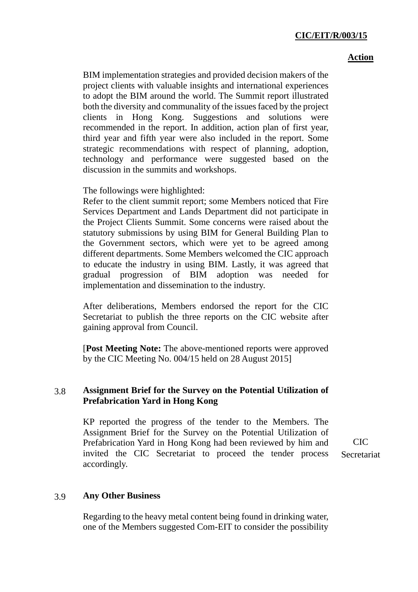#### **Action**

BIM implementation strategies and provided decision makers of the project clients with valuable insights and international experiences to adopt the BIM around the world. The Summit report illustrated both the diversity and communality of the issues faced by the project clients in Hong Kong. Suggestions and solutions were recommended in the report. In addition, action plan of first year, third year and fifth year were also included in the report. Some strategic recommendations with respect of planning, adoption, technology and performance were suggested based on the discussion in the summits and workshops.

The followings were highlighted:

Refer to the client summit report; some Members noticed that Fire Services Department and Lands Department did not participate in the Project Clients Summit. Some concerns were raised about the statutory submissions by using BIM for General Building Plan to the Government sectors, which were yet to be agreed among different departments. Some Members welcomed the CIC approach to educate the industry in using BIM. Lastly, it was agreed that gradual progression of BIM adoption was needed for implementation and dissemination to the industry.

After deliberations, Members endorsed the report for the CIC Secretariat to publish the three reports on the CIC website after gaining approval from Council.

[**Post Meeting Note:** The above-mentioned reports were approved by the CIC Meeting No. 004/15 held on 28 August 2015]

## 3.8 **Assignment Brief for the Survey on the Potential Utilization of Prefabrication Yard in Hong Kong**

KP reported the progress of the tender to the Members. The Assignment Brief for the Survey on the Potential Utilization of Prefabrication Yard in Hong Kong had been reviewed by him and invited the CIC Secretariat to proceed the tender process accordingly.

CIC Secretariat

## 3.9 **Any Other Business**

Regarding to the heavy metal content being found in drinking water, one of the Members suggested Com-EIT to consider the possibility